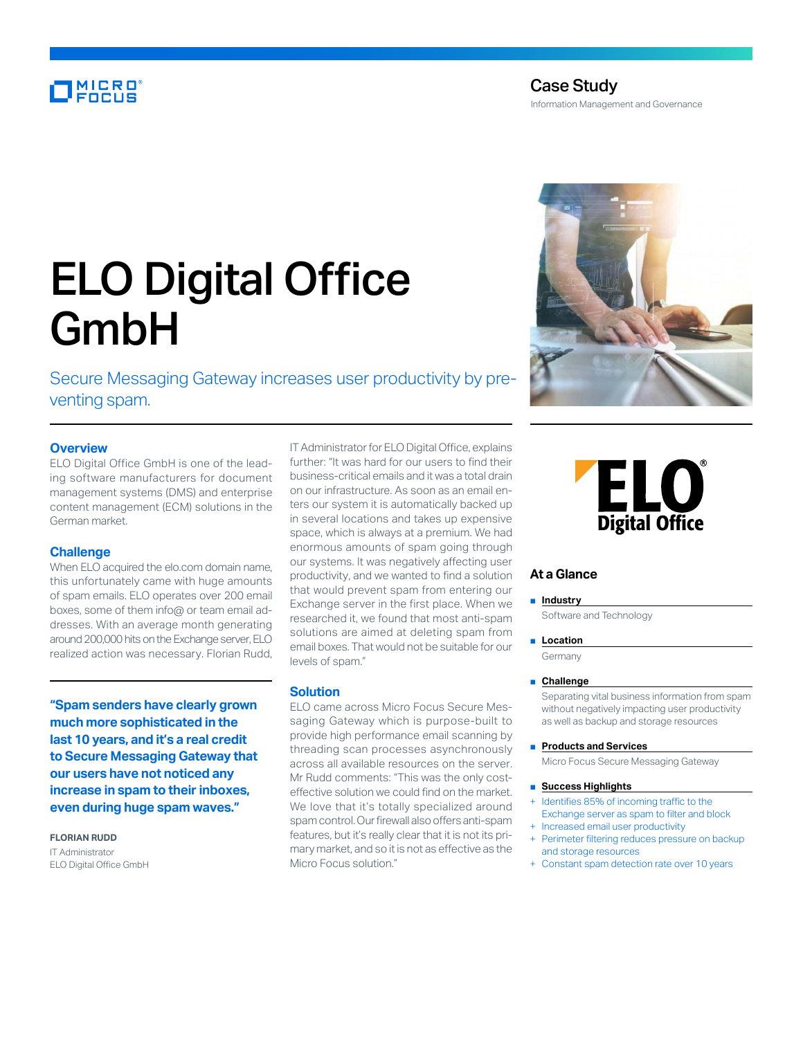### MICRO

Information Management and Governance

# ELO Digital Office GmbH

Secure Messaging Gateway increases user productivity by preventing spam.

#### **Overview**

ELO Digital Office GmbH is one of the leading software manufacturers for document management systems (DMS) and enterprise content management (ECM) solutions in the German market.

#### **Challenge**

When ELO acquired the elo.com domain name, this unfortunately came with huge amounts of spam emails. ELO operates over 200 email boxes, some of them info@ or team email addresses. With an average month generating around 200,000 hits on the Exchange server, ELO realized action was necessary. Florian Rudd,

**"Spam senders have clearly grown much more sophisticated in the last 10 years, and it's a real credit to Secure Messaging Gateway that our users have not noticed any increase in spam to their inboxes, even during huge spam waves."**

**FLORIAN RUDD**

IT Administrator ELO Digital Office GmbH IT Administrator for ELO Digital Office, explains further: "It was hard for our users to find their business-critical emails and it was a total drain on our infrastructure. As soon as an email enters our system it is automatically backed up in several locations and takes up expensive space, which is always at a premium. We had enormous amounts of spam going through our systems. It was negatively affecting user productivity, and we wanted to find a solution that would prevent spam from entering our Exchange server in the first place. When we researched it, we found that most anti-spam solutions are aimed at deleting spam from email boxes. That would not be suitable for our levels of spam."

#### **Solution**

ELO came across Micro Focus Secure Messaging Gateway which is purpose-built to provide high performance email scanning by threading scan processes asynchronously across all available resources on the server. Mr Rudd comments: "This was the only costeffective solution we could find on the market. We love that it's totally specialized around spam control. Our firewall also offers anti-spam features, but it's really clear that it is not its primary market, and so it is not as effective as the Micro Focus solution."



## **ELO Digital Office**

#### **At a Glance**

■ **Industry** 

Software and Technology

#### ■ **Location**

Germany

#### ■ **Challenge**

Separating vital business information from spam without negatively impacting user productivity as well as backup and storage resources

■ **Products and Services**

Micro Focus Secure Messaging Gateway

#### ■ **Success Highlights**

- Identifies 85% of incoming traffic to the Exchange server as spam to filter and block
- Increased email user productivity Perimeter filtering reduces pressure on backup
- and storage resources
- + Constant spam detection rate over 10 years